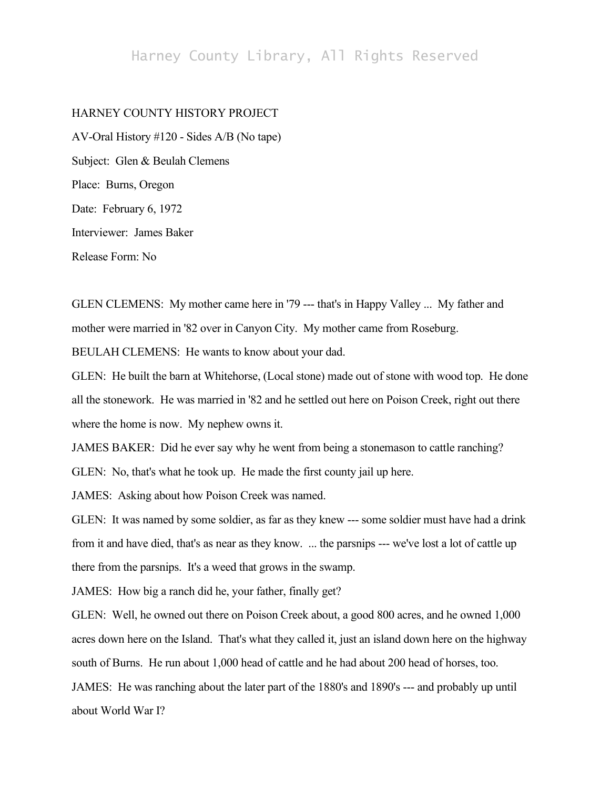## Harney County Library, All Rights Reserved

## HARNEY COUNTY HISTORY PROJECT

AV-Oral History #120 - Sides A/B (No tape) Subject: Glen & Beulah Clemens Place: Burns, Oregon Date: February 6, 1972 Interviewer: James Baker Release Form: No

GLEN CLEMENS: My mother came here in '79 --- that's in Happy Valley ... My father and mother were married in '82 over in Canyon City. My mother came from Roseburg. BEULAH CLEMENS: He wants to know about your dad.

GLEN: He built the barn at Whitehorse, (Local stone) made out of stone with wood top. He done all the stonework. He was married in '82 and he settled out here on Poison Creek, right out there where the home is now. My nephew owns it.

JAMES BAKER: Did he ever say why he went from being a stonemason to cattle ranching? GLEN: No, that's what he took up. He made the first county jail up here.

JAMES: Asking about how Poison Creek was named.

GLEN: It was named by some soldier, as far as they knew --- some soldier must have had a drink from it and have died, that's as near as they know. ... the parsnips --- we've lost a lot of cattle up there from the parsnips. It's a weed that grows in the swamp.

JAMES: How big a ranch did he, your father, finally get?

GLEN: Well, he owned out there on Poison Creek about, a good 800 acres, and he owned 1,000 acres down here on the Island. That's what they called it, just an island down here on the highway south of Burns. He run about 1,000 head of cattle and he had about 200 head of horses, too.

JAMES: He was ranching about the later part of the 1880's and 1890's --- and probably up until about World War I?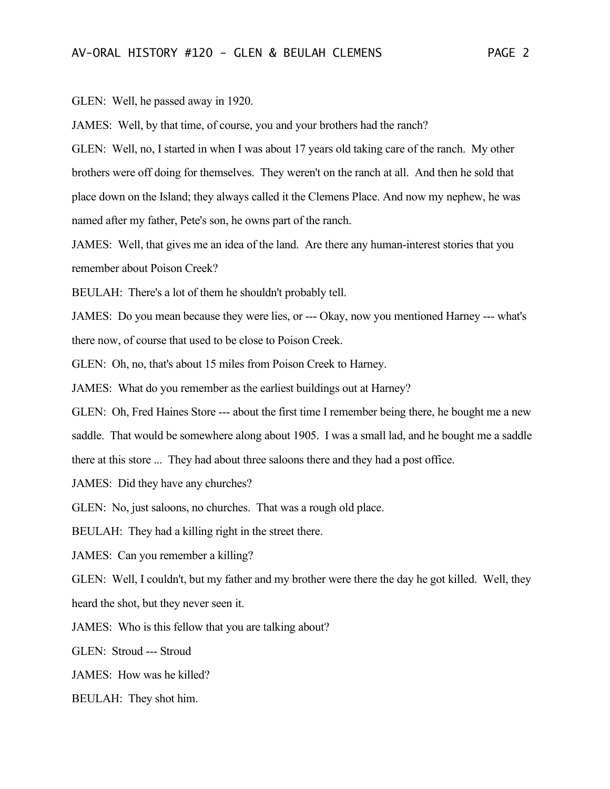GLEN: Well, he passed away in 1920.

JAMES: Well, by that time, of course, you and your brothers had the ranch?

GLEN: Well, no, I started in when I was about 17 years old taking care of the ranch. My other brothers were off doing for themselves. They weren't on the ranch at all. And then he sold that place down on the Island; they always called it the Clemens Place. And now my nephew, he was named after my father, Pete's son, he owns part of the ranch.

JAMES: Well, that gives me an idea of the land. Are there any human-interest stories that you remember about Poison Creek?

BEULAH: There's a lot of them he shouldn't probably tell.

JAMES: Do you mean because they were lies, or --- Okay, now you mentioned Harney --- what's there now, of course that used to be close to Poison Creek.

GLEN: Oh, no, that's about 15 miles from Poison Creek to Harney.

JAMES: What do you remember as the earliest buildings out at Harney?

GLEN: Oh, Fred Haines Store --- about the first time I remember being there, he bought me a new saddle. That would be somewhere along about 1905. I was a small lad, and he bought me a saddle there at this store ... They had about three saloons there and they had a post office.

JAMES: Did they have any churches?

GLEN: No, just saloons, no churches. That was a rough old place.

BEULAH: They had a killing right in the street there.

JAMES: Can you remember a killing?

GLEN: Well, I couldn't, but my father and my brother were there the day he got killed. Well, they heard the shot, but they never seen it.

JAMES: Who is this fellow that you are talking about?

GLEN: Stroud --- Stroud

JAMES: How was he killed?

BEULAH: They shot him.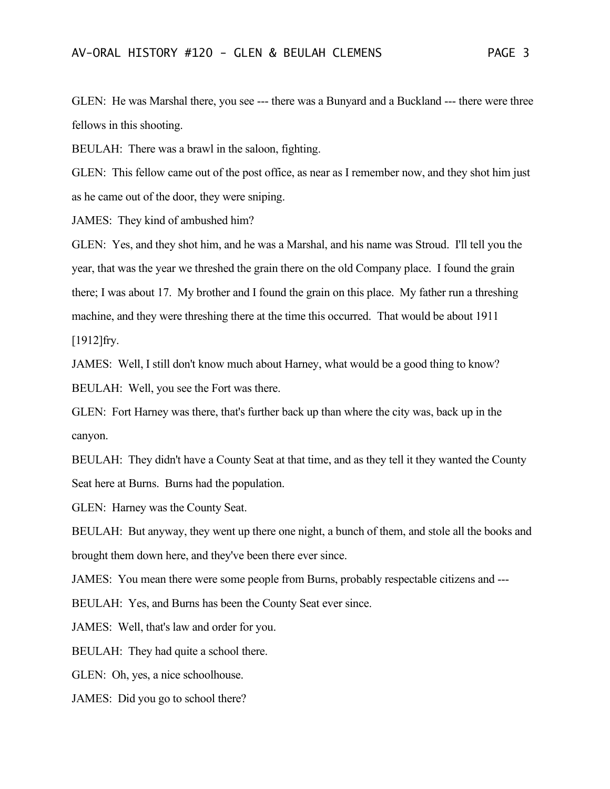GLEN: He was Marshal there, you see --- there was a Bunyard and a Buckland --- there were three fellows in this shooting.

BEULAH: There was a brawl in the saloon, fighting.

GLEN: This fellow came out of the post office, as near as I remember now, and they shot him just as he came out of the door, they were sniping.

JAMES: They kind of ambushed him?

GLEN: Yes, and they shot him, and he was a Marshal, and his name was Stroud. I'll tell you the year, that was the year we threshed the grain there on the old Company place. I found the grain there; I was about 17. My brother and I found the grain on this place. My father run a threshing machine, and they were threshing there at the time this occurred. That would be about 1911 [1912]fry.

JAMES: Well, I still don't know much about Harney, what would be a good thing to know? BEULAH: Well, you see the Fort was there.

GLEN: Fort Harney was there, that's further back up than where the city was, back up in the canyon.

BEULAH: They didn't have a County Seat at that time, and as they tell it they wanted the County Seat here at Burns. Burns had the population.

GLEN: Harney was the County Seat.

BEULAH: But anyway, they went up there one night, a bunch of them, and stole all the books and brought them down here, and they've been there ever since.

JAMES: You mean there were some people from Burns, probably respectable citizens and ---

BEULAH: Yes, and Burns has been the County Seat ever since.

JAMES: Well, that's law and order for you.

BEULAH: They had quite a school there.

GLEN: Oh, yes, a nice schoolhouse.

JAMES: Did you go to school there?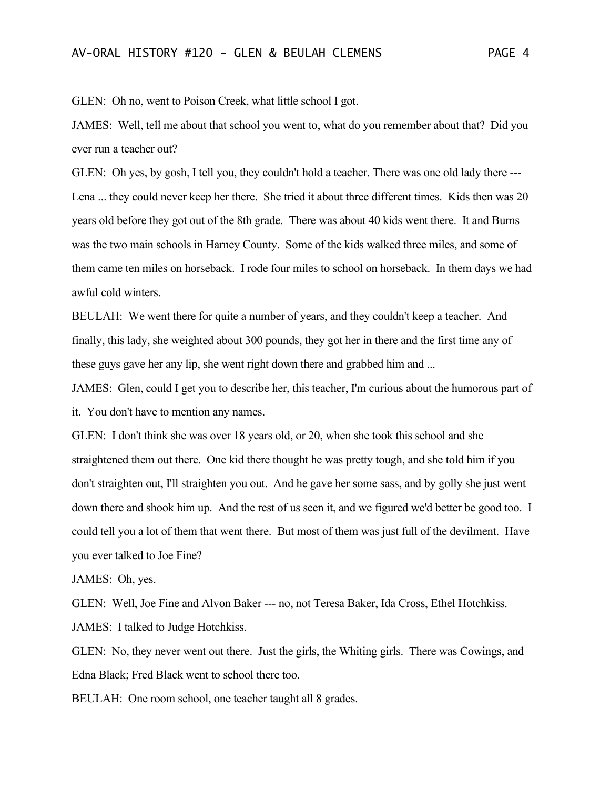GLEN: Oh no, went to Poison Creek, what little school I got.

JAMES: Well, tell me about that school you went to, what do you remember about that? Did you ever run a teacher out?

GLEN: Oh yes, by gosh, I tell you, they couldn't hold a teacher. There was one old lady there --- Lena ... they could never keep her there. She tried it about three different times. Kids then was 20 years old before they got out of the 8th grade. There was about 40 kids went there. It and Burns was the two main schools in Harney County. Some of the kids walked three miles, and some of them came ten miles on horseback. I rode four miles to school on horseback. In them days we had awful cold winters.

BEULAH: We went there for quite a number of years, and they couldn't keep a teacher. And finally, this lady, she weighted about 300 pounds, they got her in there and the first time any of these guys gave her any lip, she went right down there and grabbed him and ...

JAMES: Glen, could I get you to describe her, this teacher, I'm curious about the humorous part of it. You don't have to mention any names.

GLEN: I don't think she was over 18 years old, or 20, when she took this school and she straightened them out there. One kid there thought he was pretty tough, and she told him if you don't straighten out, I'll straighten you out. And he gave her some sass, and by golly she just went down there and shook him up. And the rest of us seen it, and we figured we'd better be good too. I could tell you a lot of them that went there. But most of them was just full of the devilment. Have you ever talked to Joe Fine?

JAMES: Oh, yes.

GLEN: Well, Joe Fine and Alvon Baker --- no, not Teresa Baker, Ida Cross, Ethel Hotchkiss. JAMES: I talked to Judge Hotchkiss.

GLEN: No, they never went out there. Just the girls, the Whiting girls. There was Cowings, and Edna Black; Fred Black went to school there too.

BEULAH: One room school, one teacher taught all 8 grades.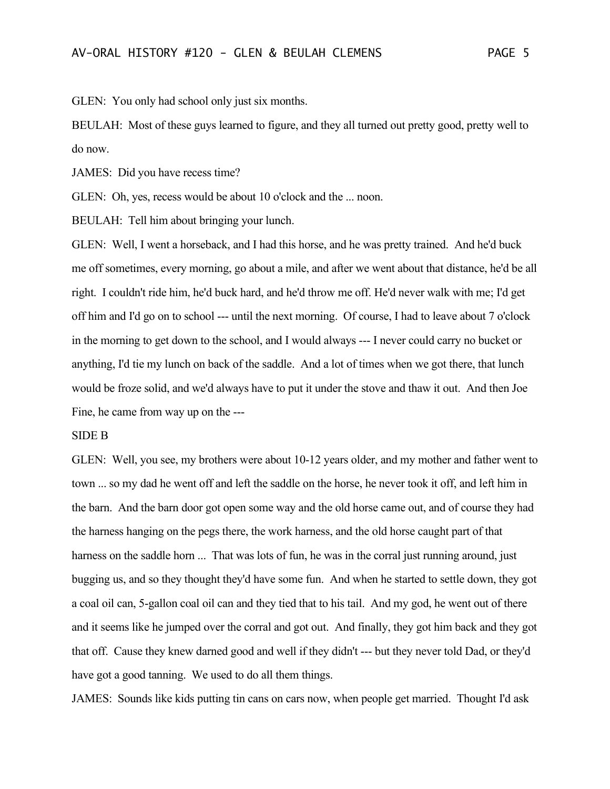GLEN: You only had school only just six months.

BEULAH: Most of these guys learned to figure, and they all turned out pretty good, pretty well to do now.

JAMES: Did you have recess time?

GLEN: Oh, yes, recess would be about 10 o'clock and the ... noon.

BEULAH: Tell him about bringing your lunch.

GLEN: Well, I went a horseback, and I had this horse, and he was pretty trained. And he'd buck me off sometimes, every morning, go about a mile, and after we went about that distance, he'd be all right. I couldn't ride him, he'd buck hard, and he'd throw me off. He'd never walk with me; I'd get off him and I'd go on to school --- until the next morning. Of course, I had to leave about 7 o'clock in the morning to get down to the school, and I would always --- I never could carry no bucket or anything, I'd tie my lunch on back of the saddle. And a lot of times when we got there, that lunch would be froze solid, and we'd always have to put it under the stove and thaw it out. And then Joe Fine, he came from way up on the ---

## SIDE B

GLEN: Well, you see, my brothers were about 10-12 years older, and my mother and father went to town ... so my dad he went off and left the saddle on the horse, he never took it off, and left him in the barn. And the barn door got open some way and the old horse came out, and of course they had the harness hanging on the pegs there, the work harness, and the old horse caught part of that harness on the saddle horn ... That was lots of fun, he was in the corral just running around, just bugging us, and so they thought they'd have some fun. And when he started to settle down, they got a coal oil can, 5-gallon coal oil can and they tied that to his tail. And my god, he went out of there and it seems like he jumped over the corral and got out. And finally, they got him back and they got that off. Cause they knew darned good and well if they didn't --- but they never told Dad, or they'd have got a good tanning. We used to do all them things.

JAMES: Sounds like kids putting tin cans on cars now, when people get married. Thought I'd ask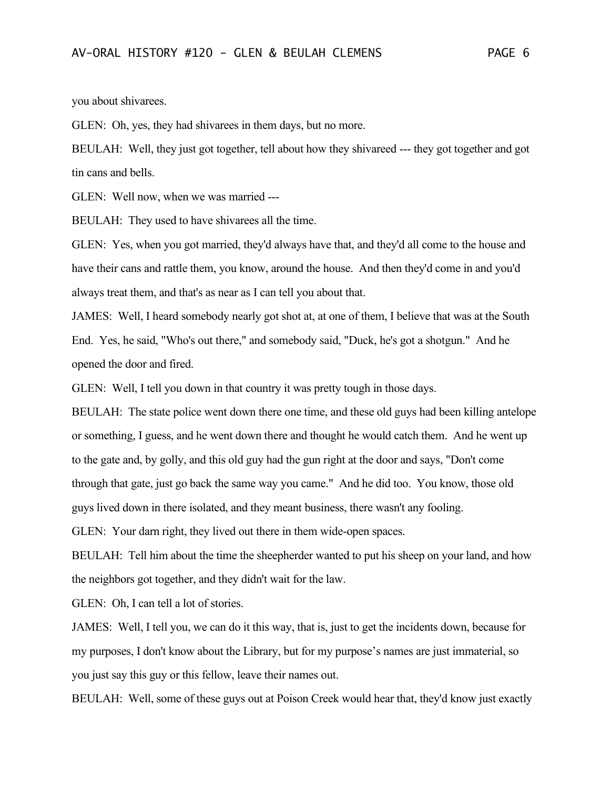you about shivarees.

GLEN: Oh, yes, they had shivarees in them days, but no more.

BEULAH: Well, they just got together, tell about how they shivareed --- they got together and got tin cans and bells.

GLEN: Well now, when we was married ---

BEULAH: They used to have shivarees all the time.

GLEN: Yes, when you got married, they'd always have that, and they'd all come to the house and have their cans and rattle them, you know, around the house. And then they'd come in and you'd always treat them, and that's as near as I can tell you about that.

JAMES: Well, I heard somebody nearly got shot at, at one of them, I believe that was at the South End. Yes, he said, "Who's out there," and somebody said, "Duck, he's got a shotgun." And he opened the door and fired.

GLEN: Well, I tell you down in that country it was pretty tough in those days.

BEULAH: The state police went down there one time, and these old guys had been killing antelope or something, I guess, and he went down there and thought he would catch them. And he went up to the gate and, by golly, and this old guy had the gun right at the door and says, "Don't come through that gate, just go back the same way you came." And he did too. You know, those old guys lived down in there isolated, and they meant business, there wasn't any fooling.

GLEN: Your darn right, they lived out there in them wide-open spaces.

BEULAH: Tell him about the time the sheepherder wanted to put his sheep on your land, and how the neighbors got together, and they didn't wait for the law.

GLEN: Oh, I can tell a lot of stories.

JAMES: Well, I tell you, we can do it this way, that is, just to get the incidents down, because for my purposes, I don't know about the Library, but for my purpose's names are just immaterial, so you just say this guy or this fellow, leave their names out.

BEULAH: Well, some of these guys out at Poison Creek would hear that, they'd know just exactly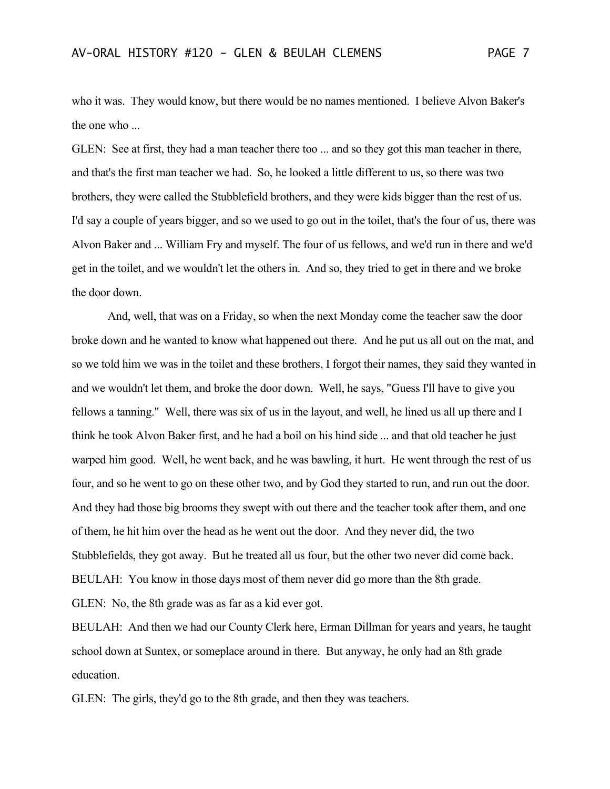who it was. They would know, but there would be no names mentioned. I believe Alvon Baker's the one who ...

GLEN: See at first, they had a man teacher there too ... and so they got this man teacher in there, and that's the first man teacher we had. So, he looked a little different to us, so there was two brothers, they were called the Stubblefield brothers, and they were kids bigger than the rest of us. I'd say a couple of years bigger, and so we used to go out in the toilet, that's the four of us, there was Alvon Baker and ... William Fry and myself. The four of us fellows, and we'd run in there and we'd get in the toilet, and we wouldn't let the others in. And so, they tried to get in there and we broke the door down.

And, well, that was on a Friday, so when the next Monday come the teacher saw the door broke down and he wanted to know what happened out there. And he put us all out on the mat, and so we told him we was in the toilet and these brothers, I forgot their names, they said they wanted in and we wouldn't let them, and broke the door down. Well, he says, "Guess I'll have to give you fellows a tanning." Well, there was six of us in the layout, and well, he lined us all up there and I think he took Alvon Baker first, and he had a boil on his hind side ... and that old teacher he just warped him good. Well, he went back, and he was bawling, it hurt. He went through the rest of us four, and so he went to go on these other two, and by God they started to run, and run out the door. And they had those big brooms they swept with out there and the teacher took after them, and one of them, he hit him over the head as he went out the door. And they never did, the two Stubblefields, they got away. But he treated all us four, but the other two never did come back. BEULAH: You know in those days most of them never did go more than the 8th grade. GLEN: No, the 8th grade was as far as a kid ever got.

BEULAH: And then we had our County Clerk here, Erman Dillman for years and years, he taught school down at Suntex, or someplace around in there. But anyway, he only had an 8th grade education.

GLEN: The girls, they'd go to the 8th grade, and then they was teachers.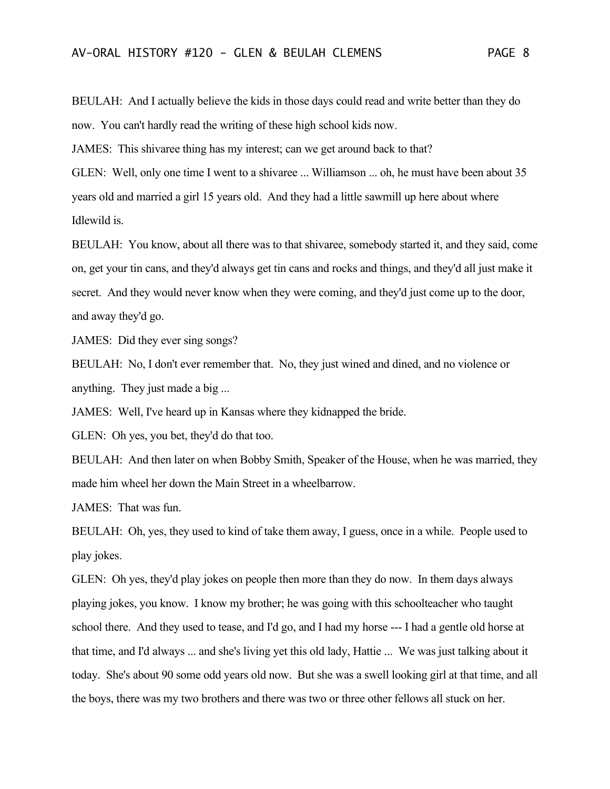BEULAH: And I actually believe the kids in those days could read and write better than they do now. You can't hardly read the writing of these high school kids now.

JAMES: This shivaree thing has my interest; can we get around back to that?

GLEN: Well, only one time I went to a shivaree ... Williamson ... oh, he must have been about 35 years old and married a girl 15 years old. And they had a little sawmill up here about where Idlewild is.

BEULAH: You know, about all there was to that shivaree, somebody started it, and they said, come on, get your tin cans, and they'd always get tin cans and rocks and things, and they'd all just make it secret. And they would never know when they were coming, and they'd just come up to the door, and away they'd go.

JAMES: Did they ever sing songs?

BEULAH: No, I don't ever remember that. No, they just wined and dined, and no violence or anything. They just made a big ...

JAMES: Well, I've heard up in Kansas where they kidnapped the bride.

GLEN: Oh yes, you bet, they'd do that too.

BEULAH: And then later on when Bobby Smith, Speaker of the House, when he was married, they made him wheel her down the Main Street in a wheelbarrow.

JAMES: That was fun.

BEULAH: Oh, yes, they used to kind of take them away, I guess, once in a while. People used to play jokes.

GLEN: Oh yes, they'd play jokes on people then more than they do now. In them days always playing jokes, you know. I know my brother; he was going with this schoolteacher who taught school there. And they used to tease, and I'd go, and I had my horse --- I had a gentle old horse at that time, and I'd always ... and she's living yet this old lady, Hattie ... We was just talking about it today. She's about 90 some odd years old now. But she was a swell looking girl at that time, and all the boys, there was my two brothers and there was two or three other fellows all stuck on her.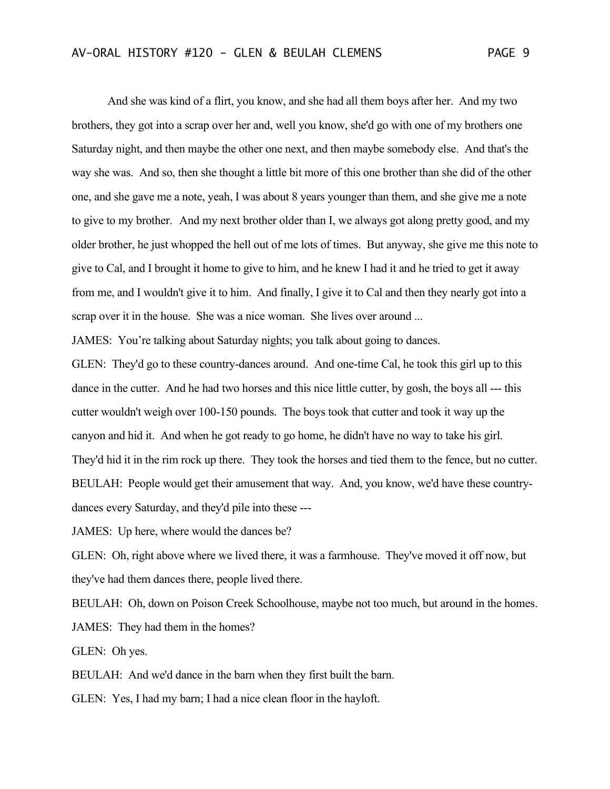And she was kind of a flirt, you know, and she had all them boys after her. And my two brothers, they got into a scrap over her and, well you know, she'd go with one of my brothers one Saturday night, and then maybe the other one next, and then maybe somebody else. And that's the way she was. And so, then she thought a little bit more of this one brother than she did of the other one, and she gave me a note, yeah, I was about 8 years younger than them, and she give me a note to give to my brother. And my next brother older than I, we always got along pretty good, and my older brother, he just whopped the hell out of me lots of times. But anyway, she give me this note to give to Cal, and I brought it home to give to him, and he knew I had it and he tried to get it away from me, and I wouldn't give it to him. And finally, I give it to Cal and then they nearly got into a scrap over it in the house. She was a nice woman. She lives over around ...

JAMES: You're talking about Saturday nights; you talk about going to dances.

GLEN: They'd go to these country-dances around. And one-time Cal, he took this girl up to this dance in the cutter. And he had two horses and this nice little cutter, by gosh, the boys all --- this cutter wouldn't weigh over 100-150 pounds. The boys took that cutter and took it way up the canyon and hid it. And when he got ready to go home, he didn't have no way to take his girl. They'd hid it in the rim rock up there. They took the horses and tied them to the fence, but no cutter. BEULAH: People would get their amusement that way. And, you know, we'd have these countrydances every Saturday, and they'd pile into these ---

JAMES: Up here, where would the dances be?

GLEN: Oh, right above where we lived there, it was a farmhouse. They've moved it off now, but they've had them dances there, people lived there.

BEULAH: Oh, down on Poison Creek Schoolhouse, maybe not too much, but around in the homes. JAMES: They had them in the homes?

GLEN: Oh yes.

BEULAH: And we'd dance in the barn when they first built the barn.

GLEN: Yes, I had my barn; I had a nice clean floor in the hayloft.